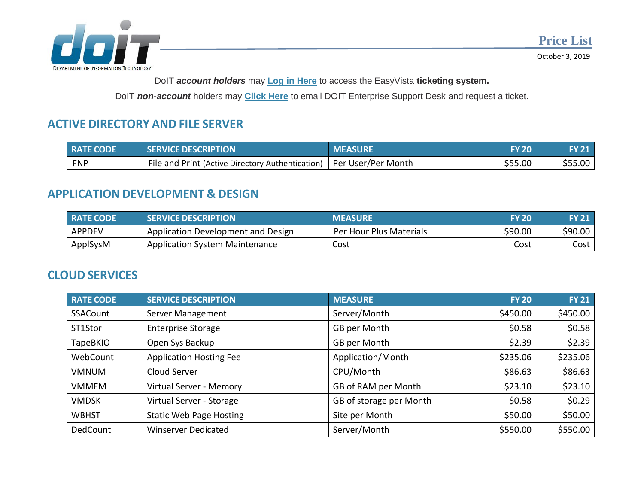

October 3, 2019

DoIT *account holders* may **[Log in Here](https://helpdesk.doit.state.nm.us/)** to access the EasyVista **ticketing system.**

DoIT *non-account* holders may **Click Here** [to email DOIT Enterprise Support](mailto:EnterpriseSupportDesk@state.nm.us) Desk and request a ticket.

# **ACTIVE DIRECTORY AND FILE SERVER**

| <b>RATE CODE</b> | <b>SERVICE DESCRIPTION</b>                                            | <b>MEASURE</b> | <b>FY 20</b> | <b>FY 21</b> |
|------------------|-----------------------------------------------------------------------|----------------|--------------|--------------|
| <b>FNP</b>       | File and Print (Active Directory Authentication)   Per User/Per Month |                | \$55.00      | \$55.00      |

# **APPLICATION DEVELOPMENT & DESIGN**

| <b>RATE CODE</b> | <b>SERVICE DESCRIPTION</b>            | <b>MEASURE</b>          | <b>FY 20</b> | <b>FY 21</b> |
|------------------|---------------------------------------|-------------------------|--------------|--------------|
| <b>APPDEV</b>    | Application Development and Design    | Per Hour Plus Materials | \$90.00      | \$90.00      |
| ApplSysM         | <b>Application System Maintenance</b> | Cost                    | Cost         | Cost         |

### **CLOUD SERVICES**

| <b>RATE CODE</b> | <b>SERVICE DESCRIPTION</b>     | <b>MEASURE</b>          | <b>FY 20</b> | <b>FY 21</b> |
|------------------|--------------------------------|-------------------------|--------------|--------------|
| SSACount         | Server Management              | Server/Month            | \$450.00     | \$450.00     |
| ST1Stor          | <b>Enterprise Storage</b>      | GB per Month            | \$0.58       | \$0.58       |
| <b>TapeBKIO</b>  | Open Sys Backup                | GB per Month            | \$2.39       | \$2.39       |
| WebCount         | <b>Application Hosting Fee</b> | Application/Month       | \$235.06     | \$235.06     |
| <b>VMNUM</b>     | Cloud Server                   | CPU/Month               | \$86.63      | \$86.63      |
| <b>VMMEM</b>     | Virtual Server - Memory        | GB of RAM per Month     | \$23.10      | \$23.10      |
| <b>VMDSK</b>     | Virtual Server - Storage       | GB of storage per Month | \$0.58       | \$0.29       |
| <b>WBHST</b>     | <b>Static Web Page Hosting</b> | Site per Month          | \$50.00      | \$50.00      |
| DedCount         | <b>Winserver Dedicated</b>     | Server/Month            | \$550.00     | \$550.00     |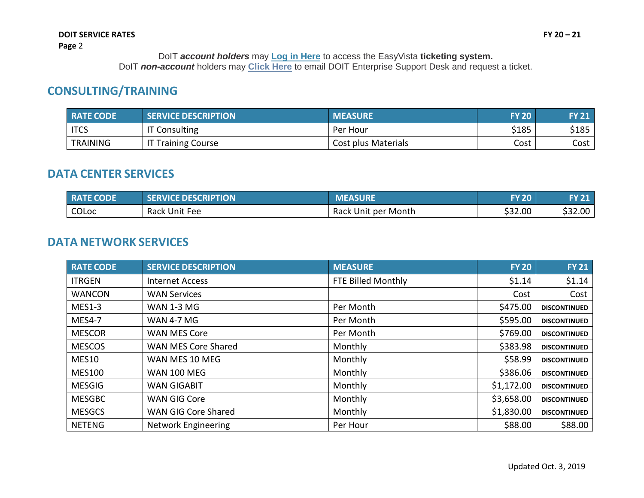# **CONSULTING/TRAINING**

| <b>RATE CODE</b> | <b>SERVICE DESCRIPTION</b> | <b>MEASURE</b>      | <b>FY 20</b> | <b>FY 21</b> |
|------------------|----------------------------|---------------------|--------------|--------------|
| <b>ITCS</b>      | <b>IT Consulting</b>       | Per Hour            | \$185        | \$185        |
| <b>TRAINING</b>  | <b>'T Training Course</b>  | Cost plus Materials | Cost         | Cost         |

#### **DATA CENTER SERVICES**

| <b>RATE CODE</b> | <b>SERVICE DESCRIPTION</b> | <b>MEASURE</b>      | <b>FY 20</b> | <b>FY 21</b> |
|------------------|----------------------------|---------------------|--------------|--------------|
| COLoc            | Rack Unit Fee              | Rack Unit per Month | \$32.00      | \$32.00      |

# **DATA NETWORK SERVICES**

| <b>RATE CODE</b> | <b>SERVICE DESCRIPTION</b> | <b>MEASURE</b>     | <b>FY 20</b> | <b>FY 21</b>        |
|------------------|----------------------------|--------------------|--------------|---------------------|
| <b>ITRGEN</b>    | <b>Internet Access</b>     | FTE Billed Monthly | \$1.14       | \$1.14              |
| <b>WANCON</b>    | <b>WAN Services</b>        |                    | Cost         | Cost                |
| $MES1-3$         | <b>WAN 1-3 MG</b>          | Per Month          | \$475.00     | <b>DISCONTINUED</b> |
| <b>MES4-7</b>    | <b>WAN 4-7 MG</b>          | Per Month          | \$595.00     | <b>DISCONTINUED</b> |
| <b>MESCOR</b>    | <b>WAN MES Core</b>        | Per Month          | \$769.00     | <b>DISCONTINUED</b> |
| <b>MESCOS</b>    | WAN MES Core Shared        | Monthly            | \$383.98     | <b>DISCONTINUED</b> |
| <b>MES10</b>     | WAN MES 10 MEG             | Monthly            | \$58.99      | <b>DISCONTINUED</b> |
| <b>MES100</b>    | <b>WAN 100 MEG</b>         | Monthly            | \$386.06     | <b>DISCONTINUED</b> |
| <b>MESGIG</b>    | <b>WAN GIGABIT</b>         | Monthly            | \$1,172.00   | <b>DISCONTINUED</b> |
| <b>MESGBC</b>    | <b>WAN GIG Core</b>        | Monthly            | \$3,658.00   | <b>DISCONTINUED</b> |
| <b>MESGCS</b>    | WAN GIG Core Shared        | Monthly            | \$1,830.00   | <b>DISCONTINUED</b> |
| <b>NETENG</b>    | <b>Network Engineering</b> | Per Hour           | \$88.00      | \$88.00             |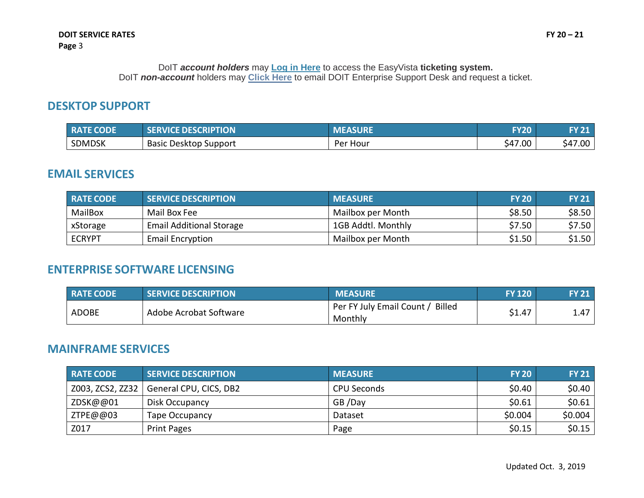#### **DESKTOP SUPPORT**

| <b>RATE CODE</b> | <b>SERVICE DESCRIPTION</b>   | <b>MEASURE</b> | <b>FY20</b> | <b>FY 21</b> |
|------------------|------------------------------|----------------|-------------|--------------|
| <b>SDMDSK</b>    | <b>Basic Desktop Support</b> | Per Hour       | \$47.00     | \$47.00      |

#### **EMAIL SERVICES**

| <b>RATE CODE</b> | <b>SERVICE DESCRIPTION</b>      | <b>MEASURE</b>     | <b>FY 20</b> | <b>FY 21</b> |
|------------------|---------------------------------|--------------------|--------------|--------------|
| MailBox          | Mail Box Fee                    | Mailbox per Month  | \$8.50       | \$8.50       |
| xStorage         | <b>Email Additional Storage</b> | 1GB Addtl. Monthly | \$7.50       | \$7.50       |
| <b>ECRYPT</b>    | <b>Email Encryption</b>         | Mailbox per Month  | \$1.50       | \$1.50       |

### **ENTERPRISE SOFTWARE LICENSING**

| <b>RATE CODE</b> | <b>SERVICE DESCRIPTION</b> | <b>MEASURE</b>                                        | <b>FY 120</b> | <b>FY 21</b> |
|------------------|----------------------------|-------------------------------------------------------|---------------|--------------|
| <b>ADOBE</b>     | Adobe Acrobat Software     | <b>Billed</b><br>Per FY July Email Count /<br>Monthly | \$1.47        | 1.47         |

#### **MAINFRAME SERVICES**

| <b>RATE CODE</b> | <b>SERVICE DESCRIPTION</b> | <b>MEASURE</b> | <b>FY 20</b> | <b>FY 21</b> |
|------------------|----------------------------|----------------|--------------|--------------|
| Z003, ZCS2, ZZ32 | General CPU, CICS, DB2     | CPU Seconds    | \$0.40       | \$0.40       |
| ZDSK@@01         | Disk Occupancy             | GB/Day         | \$0.61       | \$0.61       |
| ZTPE@@03         | <b>Tape Occupancy</b>      | Dataset        | \$0.004      | \$0.004      |
| Z017             | <b>Print Pages</b>         | Page           | \$0.15       | \$0.15       |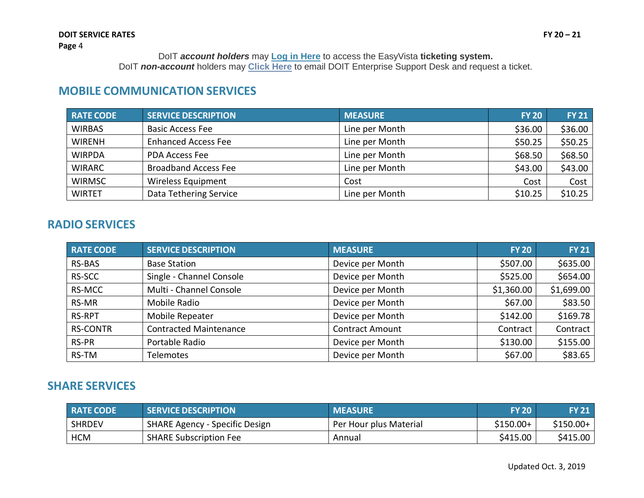# **MOBILE COMMUNICATION SERVICES**

| RATE CODE     | <b>SERVICE DESCRIPTION</b>  | <b>MEASURE</b> | <b>FY 20</b> | <b>FY 21</b> |
|---------------|-----------------------------|----------------|--------------|--------------|
| <b>WIRBAS</b> | <b>Basic Access Fee</b>     | Line per Month | \$36.00      | \$36.00      |
| <b>WIRENH</b> | <b>Enhanced Access Fee</b>  | Line per Month | \$50.25      | \$50.25      |
| <b>WIRPDA</b> | <b>PDA Access Fee</b>       | Line per Month | \$68.50      | \$68.50      |
| <b>WIRARC</b> | <b>Broadband Access Fee</b> | Line per Month | \$43.00      | \$43.00      |
| <b>WIRMSC</b> | <b>Wireless Equipment</b>   | Cost           | Cost         | Cost         |
| <b>WIRTET</b> | Data Tethering Service      | Line per Month | \$10.25      | \$10.25      |

#### **RADIO SERVICES**

| <b>RATE CODE</b> | <b>SERVICE DESCRIPTION</b>    | <b>MEASURE</b>         | <b>FY 20</b> | <b>FY 21</b> |
|------------------|-------------------------------|------------------------|--------------|--------------|
| <b>RS-BAS</b>    | <b>Base Station</b>           | Device per Month       | \$507.00     | \$635.00     |
| RS-SCC           | Single - Channel Console      | Device per Month       | \$525.00     | \$654.00     |
| RS-MCC           | Multi - Channel Console       | Device per Month       | \$1,360.00   | \$1,699.00   |
| RS-MR            | Mobile Radio                  | Device per Month       | \$67.00      | \$83.50      |
| <b>RS-RPT</b>    | Mobile Repeater               | Device per Month       | \$142.00     | \$169.78     |
| <b>RS-CONTR</b>  | <b>Contracted Maintenance</b> | <b>Contract Amount</b> | Contract     | Contract     |
| RS-PR            | Portable Radio                | Device per Month       | \$130.00     | \$155.00     |
| RS-TM            | <b>Telemotes</b>              | Device per Month       | \$67.00      | \$83.65      |

### **SHARE SERVICES**

| <b>RATE CODE</b> | <b>SERVICE DESCRIPTION</b>     | <b>MEASURE</b>         | <b>FY 20</b> | <b>FY 21</b> |
|------------------|--------------------------------|------------------------|--------------|--------------|
| <b>SHRDEV</b>    | SHARE Agency - Specific Design | Per Hour plus Material | \$150.00+    | $$150.00+$   |
| <b>HCM</b>       | <b>SHARE Subscription Fee</b>  | Annual                 | \$415.00     | \$415.00     |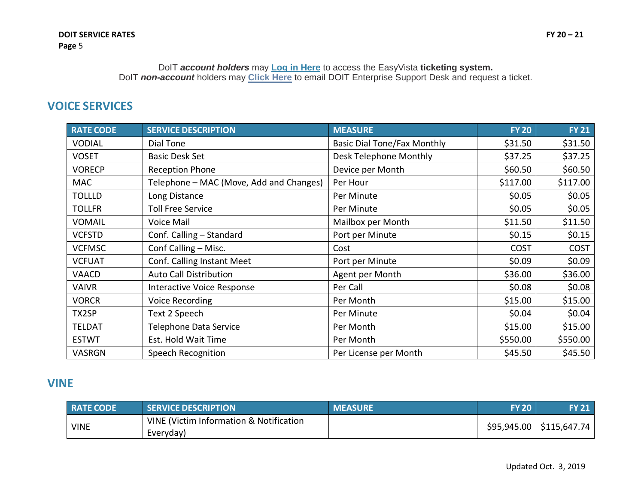# **VOICE SERVICES**

| <b>RATE CODE</b> | <b>SERVICE DESCRIPTION</b>              | <b>MEASURE</b>                     | <b>FY 20</b> | <b>FY 21</b> |
|------------------|-----------------------------------------|------------------------------------|--------------|--------------|
| <b>VODIAL</b>    | Dial Tone                               | <b>Basic Dial Tone/Fax Monthly</b> | \$31.50      | \$31.50      |
| <b>VOSET</b>     | <b>Basic Desk Set</b>                   | Desk Telephone Monthly             | \$37.25      | \$37.25      |
| <b>VORECP</b>    | <b>Reception Phone</b>                  | Device per Month                   | \$60.50      | \$60.50      |
| <b>MAC</b>       | Telephone – MAC (Move, Add and Changes) | Per Hour                           | \$117.00     | \$117.00     |
| <b>TOLLLD</b>    | Long Distance                           | Per Minute                         | \$0.05       | \$0.05       |
| <b>TOLLFR</b>    | <b>Toll Free Service</b>                | Per Minute                         | \$0.05       | \$0.05       |
| <b>VOMAIL</b>    | Voice Mail                              | Mailbox per Month                  | \$11.50      | \$11.50      |
| <b>VCFSTD</b>    | Conf. Calling - Standard                | Port per Minute                    | \$0.15       | \$0.15       |
| <b>VCFMSC</b>    | Conf Calling - Misc.                    | Cost                               | <b>COST</b>  | <b>COST</b>  |
| <b>VCFUAT</b>    | Conf. Calling Instant Meet              | Port per Minute                    | \$0.09       | \$0.09       |
| VAACD            | <b>Auto Call Distribution</b>           | Agent per Month                    | \$36.00      | \$36.00      |
| <b>VAIVR</b>     | <b>Interactive Voice Response</b>       | Per Call                           | \$0.08       | \$0.08\$     |
| <b>VORCR</b>     | <b>Voice Recording</b>                  | Per Month                          | \$15.00      | \$15.00      |
| TX2SP            | Text 2 Speech                           | Per Minute                         | \$0.04       | \$0.04\$     |
| <b>TELDAT</b>    | <b>Telephone Data Service</b>           | Per Month                          | \$15.00      | \$15.00      |
| <b>ESTWT</b>     | Est. Hold Wait Time                     | Per Month                          | \$550.00     | \$550.00     |
| VASRGN           | Speech Recognition                      | Per License per Month              | \$45.50      | \$45.50      |

# **VINE**

| <b>RATE CODE</b> | <b>SERVICE DESCRIPTION</b>                           | <b>MEASURE</b> | <b>FY 20</b> | <b>FY 21</b>                |
|------------------|------------------------------------------------------|----------------|--------------|-----------------------------|
| <b>VINE</b>      | VINE (Victim Information & Notification<br>Everyday) |                |              | $$95,945.00$   \$115,647.74 |